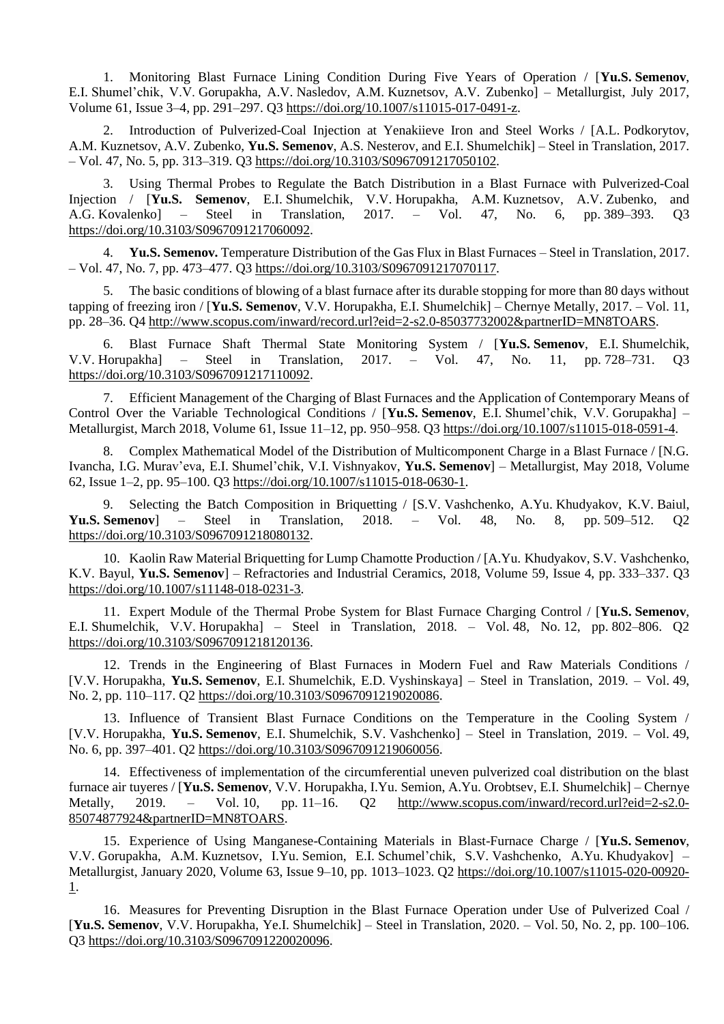1. Monitoring Blast Furnace Lining Condition During Five Years of Operation / [**Yu.S. Semenov**, E.I. Shumel'chik, V.V. Gorupakha, A.V. Nasledov, A.M. Kuznetsov, A.V. Zubenko] – Metallurgist, July 2017, Volume 61, Issue 3–4, pp. 291–297. Q3 [https://doi.org/10.1007/s11015-017-0491-z.](https://doi.org/10.1007/s11015-017-0491-z)

2. Introduction of Pulverized-Coal Injection at Yenakiieve Iron and Steel Works / [A.L. Podkorytov, A.M. Kuznetsov, A.V. Zubenko, **Yu.S. Semenov**, A.S. Nesterov, and E.I. Shumelchik] – Steel in Translation, 2017. – Vol. 47, No. 5, pp. 313–319. Q3 [https://doi.org/10.3103/S0967091217050102.](https://doi.org/10.3103/S0967091217050102)

3. Using Thermal Probes to Regulate the Batch Distribution in a Blast Furnace with Pulverized-Coal Injection / [**Yu.S. Semenov**, E.I. Shumelchik, V.V. Horupakha, A.M. Kuznetsov, A.V. Zubenko, and A.G. Kovalenko] – Steel in Translation, 2017. – Vol. 47, No. 6, pp. 389–393. Q3 [https://doi.org/10.3103/S0967091217060092.](https://doi.org/10.3103/S0967091217060092)

4. **Yu.S. Semenov.** Temperature Distribution of the Gas Flux in Blast Furnaces – Steel in Translation, 2017. – Vol. 47, No. 7, pp. 473–477. Q3 [https://doi.org/10.3103/S0967091217070117.](https://doi.org/10.3103/S0967091217070117)

5. The basic conditions of blowing of a blast furnace after its durable stopping for more than 80 days without tapping of freezing iron / [**Yu.S. Semenov**, V.V. Horupakha, E.I. Shumelchik] – Chernye Metally, 2017. – Vol. 11, pp. 28–36. Q4 [http://www.scopus.com/inward/record.url?eid=2-s2.0-85037732002&partnerID=MN8TOARS.](http://www.scopus.com/inward/record.url?eid=2-s2.0-85037732002&partnerID=MN8TOARS)

6. Blast Furnace Shaft Thermal State Monitoring System / [**Yu.S. Semenov**, E.I. Shumelchik, V.V. Horupakha] – Steel in Translation, 2017. – Vol. 47, No. 11, pp. 728–731. Q3 [https://doi.org/10.3103/S0967091217110092.](https://doi.org/10.3103/S0967091217110092)

7. Efficient Management of the Charging of Blast Furnaces and the Application of Contemporary Means of Control Over the Variable Technological Conditions / [**Yu.S. Semenov**, E.I. Shumel'chik, V.V. Gorupakha] – Metallurgist, March 2018, Volume 61, Issue 11–12, pp. 950–958. Q3 [https://doi.org/10.1007/s11015-018-0591-4.](https://doi.org/10.1007/s11015-018-0591-4)

8. Complex Mathematical Model of the Distribution of Multicomponent Charge in a Blast Furnace / [N.G. Ivancha, I.G. Murav'eva, E.I. Shumel'chik, V.I. Vishnyakov, **Yu.S. Semenov**] – Metallurgist, May 2018, Volume 62, Issue 1–2, pp. 95–100. Q3 [https://doi.org/10.1007/s11015-018-0630-1.](https://doi.org/10.1007/s11015-018-0630-1)

9. Selecting the Batch Composition in Briquetting / [S.V. Vashchenko, A.Yu. Khudyakov, K.V. Baiul, **Yu.S. Semenov**] – Steel in Translation, 2018. – Vol. 48, No. 8, pp. 509–512. Q2 [https://doi.org/10.3103/S0967091218080132.](https://doi.org/10.3103/S0967091218080132)

10. Kaolin Raw Material Briquetting for Lump Chamotte Production / [A.Yu. Khudyakov, S.V. Vashchenko, K.V. Bayul, **Yu.S. Semenov**] – Refractories and Industrial Ceramics, 2018, Volume 59, Issue 4, pp. 333–337. Q3 [https://doi.org/10.1007/s11148-018-0231-3.](https://doi.org/10.1007/s11148-018-0231-3)

11. Expert Module of the Thermal Probe System for Blast Furnace Charging Control / [**Yu.S. Semenov**, E.I. Shumelchik, V.V. Horupakha] – Steel in Translation, 2018. – Vol. 48, No. 12, pp. 802–806. Q2 [https://doi.org/10.3103/S0967091218120136.](https://doi.org/10.3103/S0967091218120136)

12. Trends in the Engineering of Blast Furnaces in Modern Fuel and Raw Materials Conditions / [V.V. Horupakha, **Yu.S. Semenov**, E.I. Shumelchik, E.D. Vyshinskaya] – Steel in Translation, 2019. – Vol. 49, No. 2, pp. 110–117. Q2 [https://doi.org/10.3103/S0967091219020086.](https://doi.org/10.3103/S0967091219020086)

13. Influence of Transient Blast Furnace Conditions on the Temperature in the Cooling System / [V.V. Horupakha, **Yu.S. Semenov**, E.I. Shumelchik, S.V. Vashchenko] – Steel in Translation, 2019. – Vol. 49, No. 6, pp. 397–401. Q2 [https://doi.org/10.3103/S0967091219060056.](https://doi.org/10.3103/S0967091219060056)

14. Effectiveness of implementation of the circumferential uneven pulverized coal distribution on the blast furnace air tuyeres / [**Yu.S. Semenov**, V.V. Horupakha, I.Yu. Semion, A.Yu. Orobtsev, E.I. Shumelchik] – Chernye Metally, 2019. – Vol. 10, pp. 11–16. Q2 [http://www.scopus.com/inward/record.url?eid=2-s2.0-](http://www.scopus.com/inward/record.url?eid=2-s2.0-85074877924&partnerID=MN8TOARS) [85074877924&partnerID=MN8TOARS.](http://www.scopus.com/inward/record.url?eid=2-s2.0-85074877924&partnerID=MN8TOARS)

15. Experience of Using Manganese-Containing Materials in Blast-Furnace Charge / [**Yu.S. Semenov**, V.V. Gorupakha, A.M. Kuznetsov, I.Yu. Semion, E.I. Schumel'chik, S.V. Vashchenko, A.Yu. Khudyakov] – Metallurgist, January 2020, Volume 63, Issue 9–10, pp. 1013–1023. Q2 [https://doi.org/10.1007/s11015-020-00920-](https://doi.org/10.1007/s11015-020-00920-1) [1.](https://doi.org/10.1007/s11015-020-00920-1)

16. Measures for Preventing Disruption in the Blast Furnace Operation under Use of Pulverized Coal / [**Yu.S. Semenov**, V.V. Horupakha, Ye.I. Shumelchik] – Steel in Translation, 2020. – Vol. 50, No. 2, pp. 100–106. Q3 [https://doi.org/10.3103/S0967091220020096.](https://doi.org/10.3103/S0967091220020096)